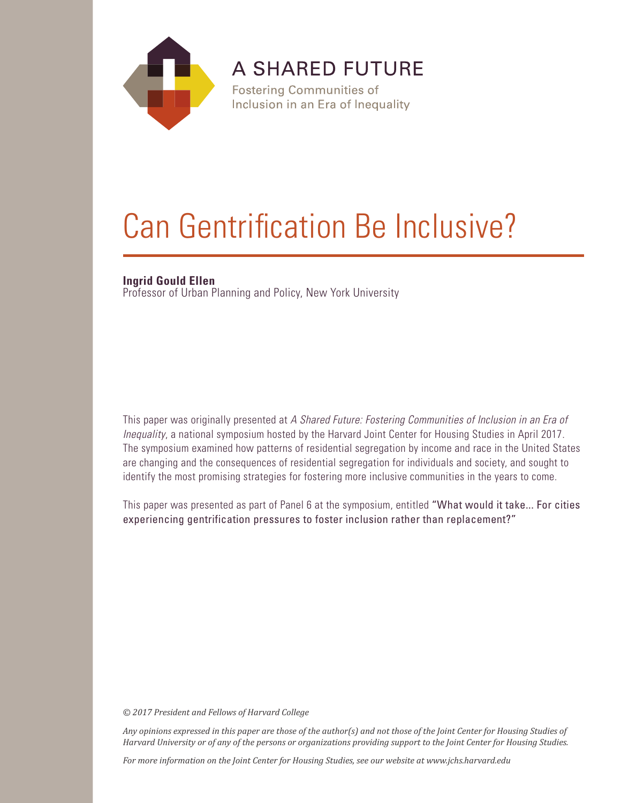

A SHARED FUTURE

**Fostering Communities of** Inclusion in an Era of Inequality

## Can Gentrification Be Inclusive?

## **Ingrid Gould Ellen**

Professor of Urban Planning and Policy, New York University

This paper was originally presented at *A Shared Future: Fostering Communities of Inclusion in an Era of Inequality*, a national symposium hosted by the Harvard Joint Center for Housing Studies in April 2017. The symposium examined how patterns of residential segregation by income and race in the United States are changing and the consequences of residential segregation for individuals and society, and sought to identify the most promising strategies for fostering more inclusive communities in the years to come.

This paper was presented as part of Panel 6 at the symposium, entitled "What would it take... For cities experiencing gentrification pressures to foster inclusion rather than replacement?"

*© 2017 President and Fellows of Harvard College*

*Any opinions expressed in this paper are those of the author(s) and not those of the Joint Center for Housing Studies of Harvard University or of any of the persons or organizations providing support to the Joint Center for Housing Studies.* 

*For more information on the Joint Center for Housing Studies, see our website at www.jchs.harvard.edu*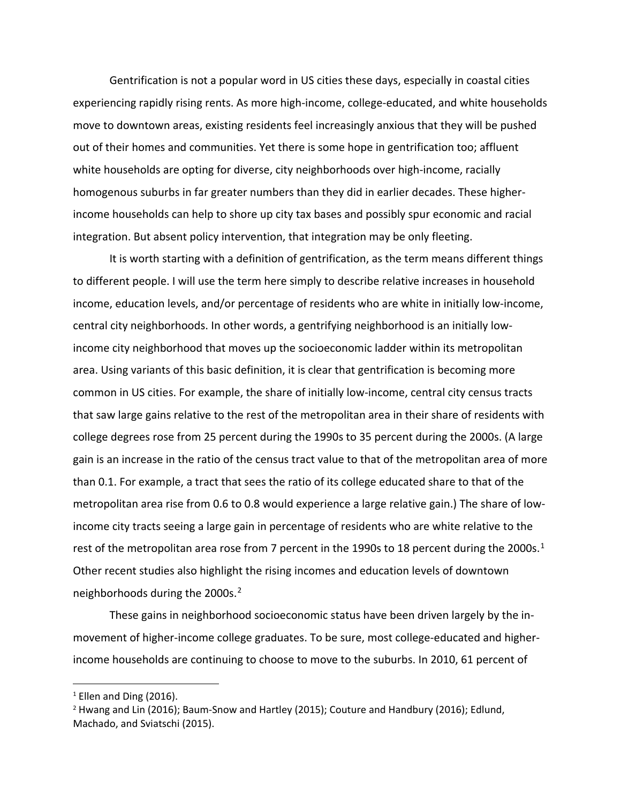Gentrification is not a popular word in US cities these days, especially in coastal cities experiencing rapidly rising rents. As more high-income, college-educated, and white households move to downtown areas, existing residents feel increasingly anxious that they will be pushed out of their homes and communities. Yet there is some hope in gentrification too; affluent white households are opting for diverse, city neighborhoods over high-income, racially homogenous suburbs in far greater numbers than they did in earlier decades. These higherincome households can help to shore up city tax bases and possibly spur economic and racial integration. But absent policy intervention, that integration may be only fleeting.

It is worth starting with a definition of gentrification, as the term means different things to different people. I will use the term here simply to describe relative increases in household income, education levels, and/or percentage of residents who are white in initially low-income, central city neighborhoods. In other words, a gentrifying neighborhood is an initially lowincome city neighborhood that moves up the socioeconomic ladder within its metropolitan area. Using variants of this basic definition, it is clear that gentrification is becoming more common in US cities. For example, the share of initially low-income, central city census tracts that saw large gains relative to the rest of the metropolitan area in their share of residents with college degrees rose from 25 percent during the 1990s to 35 percent during the 2000s. (A large gain is an increase in the ratio of the census tract value to that of the metropolitan area of more than 0.1. For example, a tract that sees the ratio of its college educated share to that of the metropolitan area rise from 0.6 to 0.8 would experience a large relative gain.) The share of lowincome city tracts seeing a large gain in percentage of residents who are white relative to the rest of the metropolitan area rose from 7 percent in the [1](#page-2-0)990s to 18 percent during the 2000s.<sup>1</sup> Other recent studies also highlight the rising incomes and education levels of downtown neighborhoods during the 2000s. [2](#page-2-1)

These gains in neighborhood socioeconomic status have been driven largely by the inmovement of higher-income college graduates. To be sure, most college-educated and higherincome households are continuing to choose to move to the suburbs. In 2010, 61 percent of

<span id="page-2-0"></span> $1$  Ellen and Ding (2016).

<span id="page-2-1"></span><sup>2</sup> Hwang and Lin (2016); Baum-Snow and Hartley (2015); Couture and Handbury (2016); Edlund, Machado, and Sviatschi (2015).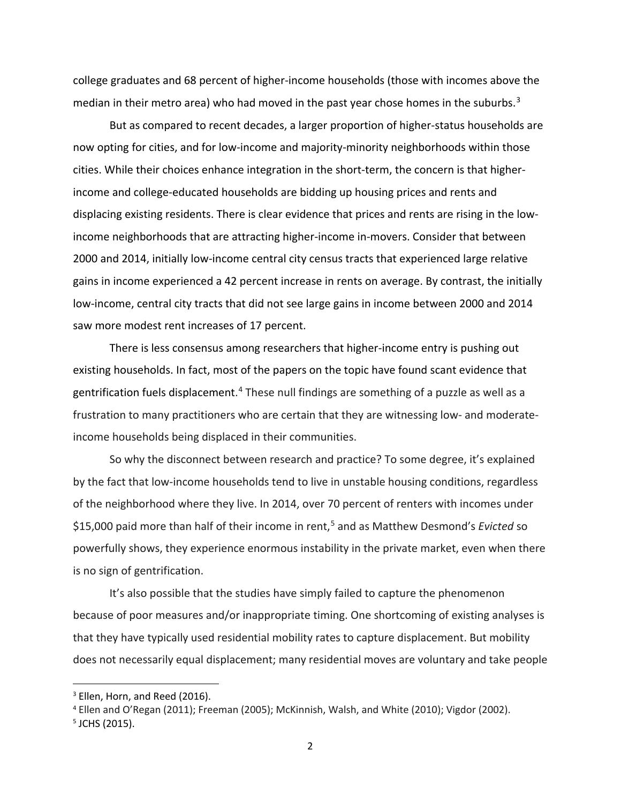college graduates and 68 percent of higher-income households (those with incomes above the median in their metro area) who had moved in the past year chose homes in the suburbs. $3$ 

But as compared to recent decades, a larger proportion of higher-status households are now opting for cities, and for low-income and majority-minority neighborhoods within those cities. While their choices enhance integration in the short-term, the concern is that higherincome and college-educated households are bidding up housing prices and rents and displacing existing residents. There is clear evidence that prices and rents are rising in the lowincome neighborhoods that are attracting higher-income in-movers. Consider that between 2000 and 2014, initially low-income central city census tracts that experienced large relative gains in income experienced a 42 percent increase in rents on average. By contrast, the initially low-income, central city tracts that did not see large gains in income between 2000 and 2014 saw more modest rent increases of 17 percent.

There is less consensus among researchers that higher-income entry is pushing out existing households. In fact, most of the papers on the topic have found scant evidence that gentrification fuels displacement.<sup>[4](#page-3-1)</sup> These null findings are something of a puzzle as well as a frustration to many practitioners who are certain that they are witnessing low- and moderateincome households being displaced in their communities.

So why the disconnect between research and practice? To some degree, it's explained by the fact that low-income households tend to live in unstable housing conditions, regardless of the neighborhood where they live. In 2014, over 70 percent of renters with incomes under \$15,000 paid more than half of their income in rent, [5](#page-3-2) and as Matthew Desmond's *Evicted* so powerfully shows, they experience enormous instability in the private market, even when there is no sign of gentrification.

It's also possible that the studies have simply failed to capture the phenomenon because of poor measures and/or inappropriate timing. One shortcoming of existing analyses is that they have typically used residential mobility rates to capture displacement. But mobility does not necessarily equal displacement; many residential moves are voluntary and take people

<span id="page-3-0"></span><sup>&</sup>lt;sup>3</sup> Ellen, Horn, and Reed (2016).

<span id="page-3-1"></span><sup>4</sup> Ellen and O'Regan (2011); Freeman (2005); McKinnish, Walsh, and White (2010); Vigdor (2002).

<span id="page-3-2"></span><sup>5</sup> JCHS (2015).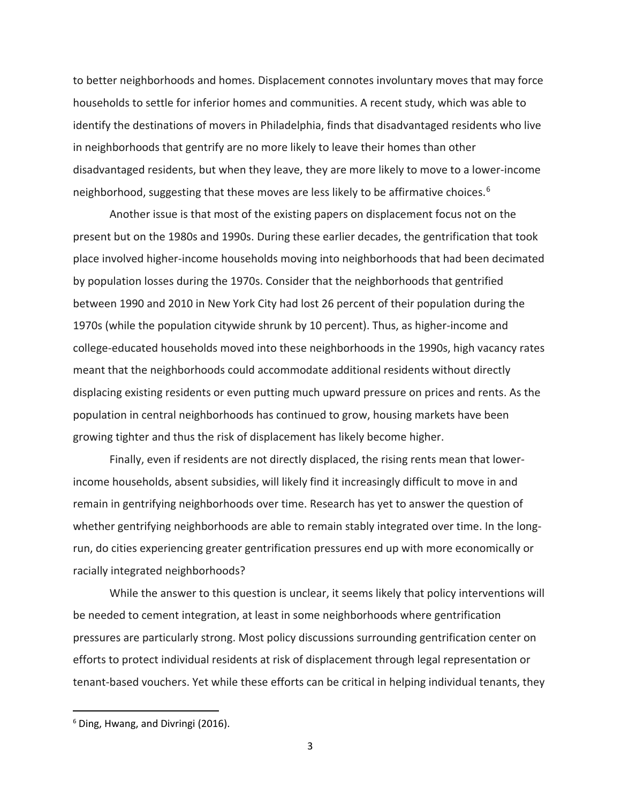to better neighborhoods and homes. Displacement connotes involuntary moves that may force households to settle for inferior homes and communities. A recent study, which was able to identify the destinations of movers in Philadelphia, finds that disadvantaged residents who live in neighborhoods that gentrify are no more likely to leave their homes than other disadvantaged residents, but when they leave, they are more likely to move to a lower-income neighborhood, suggesting that these moves are less likely to be affirmative choices. [6](#page-4-0) 

Another issue is that most of the existing papers on displacement focus not on the present but on the 1980s and 1990s. During these earlier decades, the gentrification that took place involved higher-income households moving into neighborhoods that had been decimated by population losses during the 1970s. Consider that the neighborhoods that gentrified between 1990 and 2010 in New York City had lost 26 percent of their population during the 1970s (while the population citywide shrunk by 10 percent). Thus, as higher-income and college-educated households moved into these neighborhoods in the 1990s, high vacancy rates meant that the neighborhoods could accommodate additional residents without directly displacing existing residents or even putting much upward pressure on prices and rents. As the population in central neighborhoods has continued to grow, housing markets have been growing tighter and thus the risk of displacement has likely become higher.

Finally, even if residents are not directly displaced, the rising rents mean that lowerincome households, absent subsidies, will likely find it increasingly difficult to move in and remain in gentrifying neighborhoods over time. Research has yet to answer the question of whether gentrifying neighborhoods are able to remain stably integrated over time. In the longrun, do cities experiencing greater gentrification pressures end up with more economically or racially integrated neighborhoods?

While the answer to this question is unclear, it seems likely that policy interventions will be needed to cement integration, at least in some neighborhoods where gentrification pressures are particularly strong. Most policy discussions surrounding gentrification center on efforts to protect individual residents at risk of displacement through legal representation or tenant-based vouchers. Yet while these efforts can be critical in helping individual tenants, they

<span id="page-4-0"></span> <sup>6</sup> Ding, Hwang, and Divringi (2016).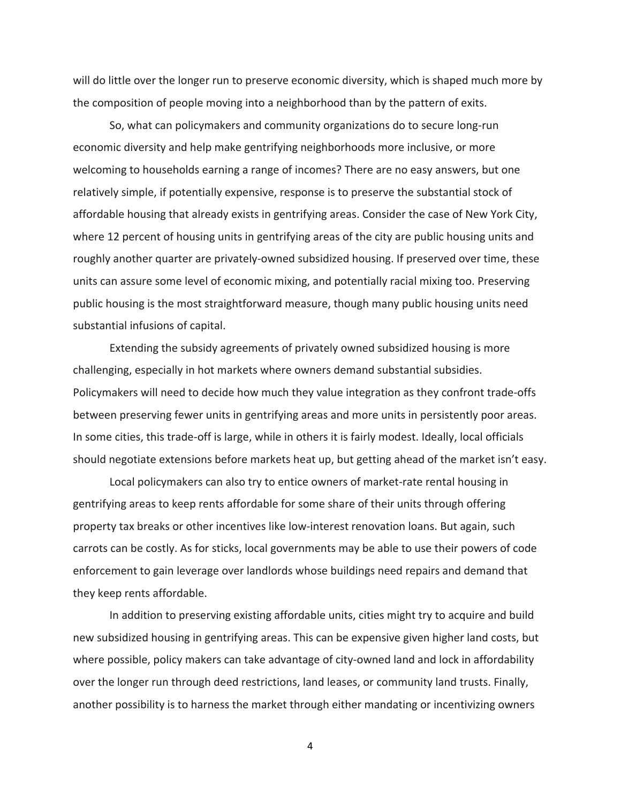will do little over the longer run to preserve economic diversity, which is shaped much more by the composition of people moving into a neighborhood than by the pattern of exits.

So, what can policymakers and community organizations do to secure long-run economic diversity and help make gentrifying neighborhoods more inclusive, or more welcoming to households earning a range of incomes? There are no easy answers, but one relatively simple, if potentially expensive, response is to preserve the substantial stock of affordable housing that already exists in gentrifying areas. Consider the case of New York City, where 12 percent of housing units in gentrifying areas of the city are public housing units and roughly another quarter are privately-owned subsidized housing. If preserved over time, these units can assure some level of economic mixing, and potentially racial mixing too. Preserving public housing is the most straightforward measure, though many public housing units need substantial infusions of capital.

Extending the subsidy agreements of privately owned subsidized housing is more challenging, especially in hot markets where owners demand substantial subsidies. Policymakers will need to decide how much they value integration as they confront trade-offs between preserving fewer units in gentrifying areas and more units in persistently poor areas. In some cities, this trade-off is large, while in others it is fairly modest. Ideally, local officials should negotiate extensions before markets heat up, but getting ahead of the market isn't easy.

Local policymakers can also try to entice owners of market-rate rental housing in gentrifying areas to keep rents affordable for some share of their units through offering property tax breaks or other incentives like low-interest renovation loans. But again, such carrots can be costly. As for sticks, local governments may be able to use their powers of code enforcement to gain leverage over landlords whose buildings need repairs and demand that they keep rents affordable.

In addition to preserving existing affordable units, cities might try to acquire and build new subsidized housing in gentrifying areas. This can be expensive given higher land costs, but where possible, policy makers can take advantage of city-owned land and lock in affordability over the longer run through deed restrictions, land leases, or community land trusts. Finally, another possibility is to harness the market through either mandating or incentivizing owners

4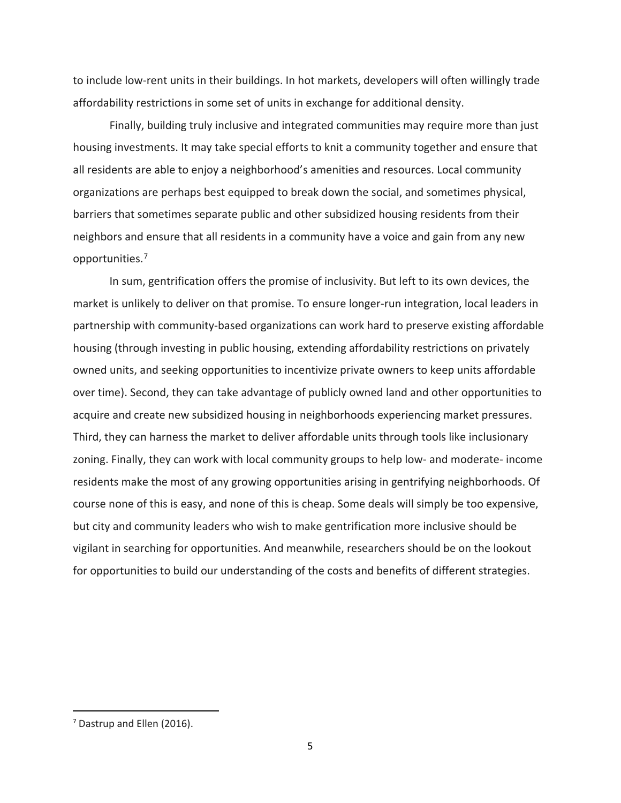to include low-rent units in their buildings. In hot markets, developers will often willingly trade affordability restrictions in some set of units in exchange for additional density.

Finally, building truly inclusive and integrated communities may require more than just housing investments. It may take special efforts to knit a community together and ensure that all residents are able to enjoy a neighborhood's amenities and resources. Local community organizations are perhaps best equipped to break down the social, and sometimes physical, barriers that sometimes separate public and other subsidized housing residents from their neighbors and ensure that all residents in a community have a voice and gain from any new opportunities.[7](#page-6-0)

In sum, gentrification offers the promise of inclusivity. But left to its own devices, the market is unlikely to deliver on that promise. To ensure longer-run integration, local leaders in partnership with community-based organizations can work hard to preserve existing affordable housing (through investing in public housing, extending affordability restrictions on privately owned units, and seeking opportunities to incentivize private owners to keep units affordable over time). Second, they can take advantage of publicly owned land and other opportunities to acquire and create new subsidized housing in neighborhoods experiencing market pressures. Third, they can harness the market to deliver affordable units through tools like inclusionary zoning. Finally, they can work with local community groups to help low- and moderate- income residents make the most of any growing opportunities arising in gentrifying neighborhoods. Of course none of this is easy, and none of this is cheap. Some deals will simply be too expensive, but city and community leaders who wish to make gentrification more inclusive should be vigilant in searching for opportunities. And meanwhile, researchers should be on the lookout for opportunities to build our understanding of the costs and benefits of different strategies.

<span id="page-6-0"></span> <sup>7</sup> Dastrup and Ellen (2016).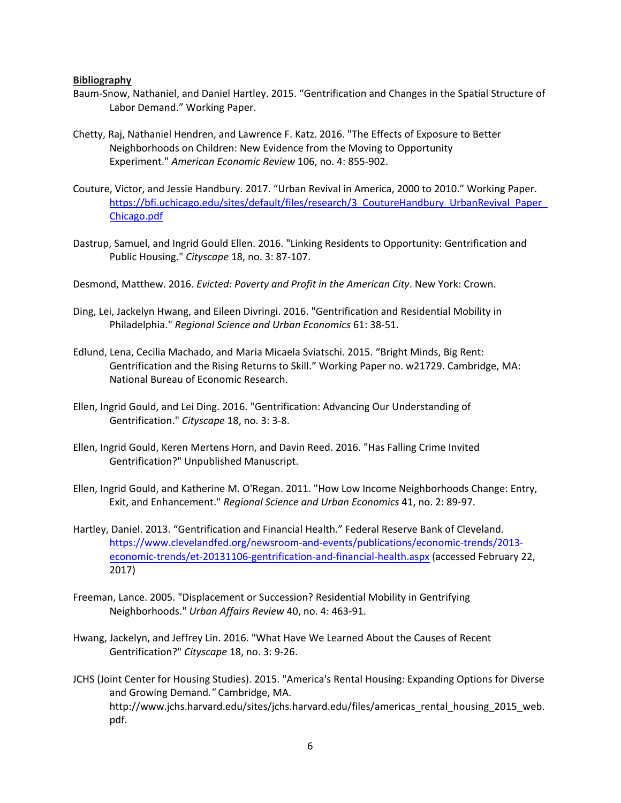## **Bibliography**

- Baum-Snow, Nathaniel, and Daniel Hartley. 2015. "Gentrification and Changes in the Spatial Structure of Labor Demand." Working Paper.
- Chetty, Raj, Nathaniel Hendren, and Lawrence F. Katz. 2016. "The Effects of Exposure to Better Neighborhoods on Children: New Evidence from the Moving to Opportunity Experiment." *American Economic Review* 106, no. 4: 855-902.
- Couture, Victor, and Jessie Handbury. 2017. "Urban Revival in America, 2000 to 2010." Working Paper. [https://bfi.uchicago.edu/sites/default/files/research/3\\_CoutureHandbury\\_UrbanRevival\\_Paper\\_](https://bfi.uchicago.edu/sites/default/files/research/3_CoutureHandbury_UrbanRevival_Paper_Chicago.pdf) [Chicago.pdf](https://bfi.uchicago.edu/sites/default/files/research/3_CoutureHandbury_UrbanRevival_Paper_Chicago.pdf)
- Dastrup, Samuel, and Ingrid Gould Ellen. 2016. "Linking Residents to Opportunity: Gentrification and Public Housing." *Cityscape* 18, no. 3: 87-107.
- Desmond, Matthew. 2016. *Evicted: Poverty and Profit in the American City*. New York: Crown.
- Ding, Lei, Jackelyn Hwang, and Eileen Divringi. 2016. "Gentrification and Residential Mobility in Philadelphia." *Regional Science and Urban Economics* 61: 38-51.
- Edlund, Lena, Cecilia Machado, and Maria Micaela Sviatschi. 2015. "Bright Minds, Big Rent: Gentrification and the Rising Returns to Skill." Working Paper no. w21729. Cambridge, MA: National Bureau of Economic Research.
- Ellen, Ingrid Gould, and Lei Ding. 2016. "Gentrification: Advancing Our Understanding of Gentrification." *Cityscape* 18, no. 3: 3-8.
- Ellen, Ingrid Gould, Keren Mertens Horn, and Davin Reed. 2016. "Has Falling Crime Invited Gentrification?" Unpublished Manuscript.
- Ellen, Ingrid Gould, and Katherine M. O'Regan. 2011. "How Low Income Neighborhoods Change: Entry, Exit, and Enhancement." *Regional Science and Urban Economics* 41, no. 2: 89-97.
- Hartley, Daniel. 2013. "Gentrification and Financial Health." Federal Reserve Bank of Cleveland. [https://www.clevelandfed.org/newsroom-and-events/publications/economic-trends/2013](https://www.clevelandfed.org/newsroom-and-events/publications/economic-trends/2013-economic-trends/et-20131106-gentrification-and-financial-health.aspx) [economic-trends/et-20131106-gentrification-and-financial-health.aspx](https://www.clevelandfed.org/newsroom-and-events/publications/economic-trends/2013-economic-trends/et-20131106-gentrification-and-financial-health.aspx) (accessed February 22, 2017)
- Freeman, Lance. 2005. "Displacement or Succession? Residential Mobility in Gentrifying Neighborhoods." *Urban Affairs Review* 40, no. 4: 463-91.
- Hwang, Jackelyn, and Jeffrey Lin. 2016. "What Have We Learned About the Causes of Recent Gentrification?" *Cityscape* 18, no. 3: 9-26.
- JCHS (Joint Center for Housing Studies). 2015. "America's Rental Housing: Expanding Options for Diverse and Growing Demand*."* Cambridge, MA. http://www.jchs.harvard.edu/sites/jchs.harvard.edu/files/americas\_rental\_housing\_2015\_web. pdf.